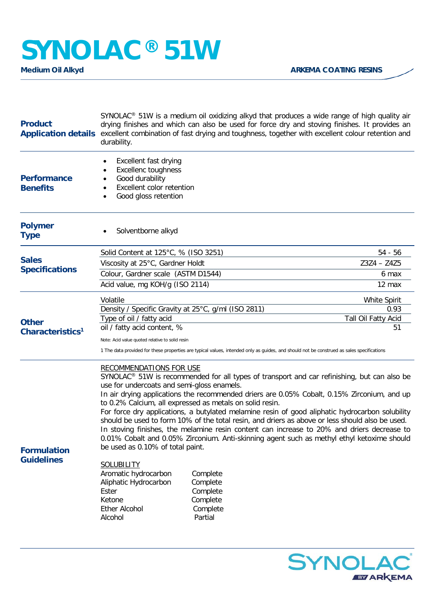## **SYNOLAC®** 51W

| <b>Product</b><br><b>Application details</b> | SYNOLAC <sup>®</sup> 51W is a medium oil oxidizing alkyd that produces a wide range of high quality air<br>drying finishes and which can also be used for force dry and stoving finishes. It provides an<br>excellent combination of fast drying and toughness, together with excellent colour retention and<br>durability.                                                                                                                                                                                                                                                                                                                                                                                                                                                                                                                                                                                                                                                                 |  |  |
|----------------------------------------------|---------------------------------------------------------------------------------------------------------------------------------------------------------------------------------------------------------------------------------------------------------------------------------------------------------------------------------------------------------------------------------------------------------------------------------------------------------------------------------------------------------------------------------------------------------------------------------------------------------------------------------------------------------------------------------------------------------------------------------------------------------------------------------------------------------------------------------------------------------------------------------------------------------------------------------------------------------------------------------------------|--|--|
| <b>Performance</b><br><b>Benefits</b>        | Excellent fast drying<br><b>Excellenc toughness</b><br>Good durability<br>Excellent color retention<br>Good gloss retention                                                                                                                                                                                                                                                                                                                                                                                                                                                                                                                                                                                                                                                                                                                                                                                                                                                                 |  |  |
| <b>Polymer</b><br><b>Type</b>                | Solventborne alkyd                                                                                                                                                                                                                                                                                                                                                                                                                                                                                                                                                                                                                                                                                                                                                                                                                                                                                                                                                                          |  |  |
| <b>Sales</b><br><b>Specifications</b>        | Solid Content at 125°C, % (ISO 3251)<br>$54 - 56$<br>Viscosity at 25°C, Gardner Holdt<br>$Z3Z4 - Z4Z5$<br>Colour, Gardner scale (ASTM D1544)<br>6 max<br>Acid value, mg KOH/g (ISO 2114)<br>12 max                                                                                                                                                                                                                                                                                                                                                                                                                                                                                                                                                                                                                                                                                                                                                                                          |  |  |
| <b>Other</b><br>Characteristics <sup>1</sup> | Volatile<br><b>White Spirit</b><br>Density / Specific Gravity at 25°C, g/ml (ISO 2811)<br>0.93<br>Tall Oil Fatty Acid<br>Type of oil / fatty acid<br>oil / fatty acid content, %<br>51<br>Note: Acid value quoted relative to solid resin<br>1 The data provided for these properties are typical values, intended only as guides, and should not be construed as sales specifications                                                                                                                                                                                                                                                                                                                                                                                                                                                                                                                                                                                                      |  |  |
| <b>Formulation</b><br><b>Guidelines</b>      | <b>RECOMMENDATIONS FOR USE</b><br>SYNOLAC <sup>®</sup> 51W is recommended for all types of transport and car refinishing, but can also be<br>use for undercoats and semi-gloss enamels.<br>In air drying applications the recommended driers are 0.05% Cobalt, 0.15% Zirconium, and up<br>to 0.2% Calcium, all expressed as metals on solid resin.<br>For force dry applications, a butylated melamine resin of good aliphatic hydrocarbon solubility<br>should be used to form 10% of the total resin, and driers as above or less should also be used.<br>In stoving finishes, the melamine resin content can increase to 20% and driers decrease to<br>0.01% Cobalt and 0.05% Zirconium. Anti-skinning agent such as methyl ethyl ketoxime should<br>be used as 0.10% of total paint.<br><b>SOLUBILITY</b><br>Aromatic hydrocarbon<br>Complete<br>Aliphatic Hydrocarbon<br>Complete<br>Ester<br>Complete<br>Ketone<br>Complete<br><b>Ether Alcohol</b><br>Complete<br>Partial<br>Alcohol |  |  |